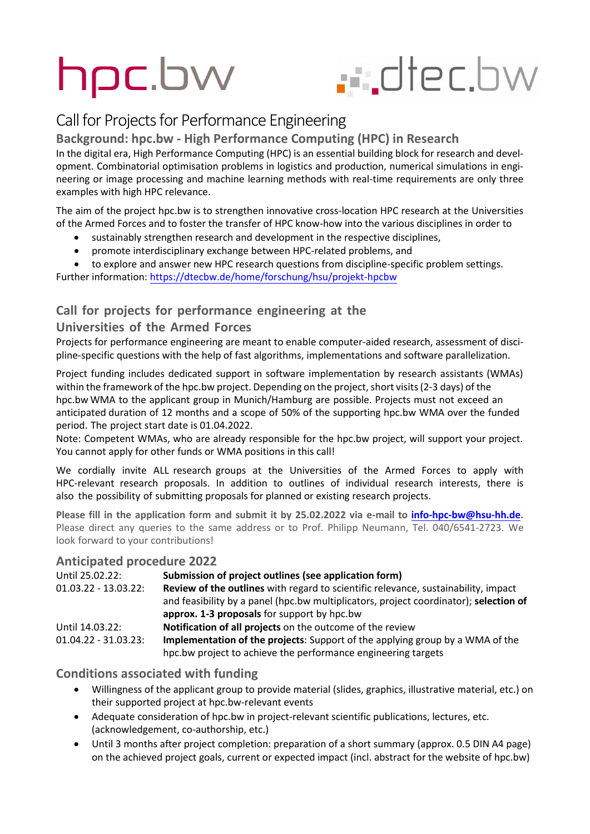# hpc.bw

## . diec.bw

### Call for Projects for Performance Engineering

#### **Background: hpc.bw - High Performance Computing (HPC) in Research**

In the digital era, High Performance Computing (HPC) is an essential building block for research and development. Combinatorial optimisation problems in logistics and production, numerical simulations in engineering or image processing and machine learning methods with real-time requirements are only three examples with high HPC relevance.

The aim of the project hpc.bw is to strengthen innovative cross-location HPC research at the Universities of the Armed Forces and to foster the transfer of HPC know-how into the various disciplines in order to

- sustainably strengthen research and development in the respective disciplines,
- promote interdisciplinary exchange between HPC-related problems, and
- to explore and answer new HPC research questions from discipline-specific problem settings.

Further information: <https://dtecbw.de/home/forschung/hsu/projekt-hpcbw>

#### **Call for projects for performance engineering at the**

#### **Universities of the Armed Forces**

Projects for performance engineering are meant to enable computer-aided research, assessment of discipline-specific questions with the help of fast algorithms, implementations and software parallelization.

Project funding includes dedicated support in software implementation by research assistants (WMAs) within the framework of the hpc.bw project. Depending on the project, short visits (2-3 days) of the hpc.bw WMA to the applicant group in Munich/Hamburg are possible. Projects must not exceed an anticipated duration of 12 months and a scope of 50% of the supporting hpc.bw WMA over the funded period. The project start date is 01.04.2022.

Note: Competent WMAs, who are already responsible for the hpc.bw project, will support your project. You cannot apply for other funds or WMA positions in this call!

We cordially invite ALL research groups at the Universities of the Armed Forces to apply with HPC-relevant research proposals. In addition to outlines of individual research interests, there is also the possibility of submitting proposals for planned or existing research projects.

**Please fill in the application form and submit it by 25.02.2022 via e-mail t[o info-hpc-bw@hsu-hh.de.](mailto:info-hpc-bw@hsu-hh.de)**  Please direct any queries to the same address or to Prof. Philipp Neumann, Tel. 040/6541-2723. We look forward to your contributions!

#### **Anticipated procedure 2022**

| Until 25.02.22:         | Submission of project outlines (see application form)                                     |
|-------------------------|-------------------------------------------------------------------------------------------|
| $01.03.22 - 13.03.22$ : | <b>Review of the outlines</b> with regard to scientific relevance, sustainability, impact |
|                         | and feasibility by a panel (hpc.bw multiplicators, project coordinator); selection of     |
|                         | approx. 1-3 proposals for support by hpc.bw                                               |
| Until 14.03.22:         | Notification of all projects on the outcome of the review                                 |
| $01.04.22 - 31.03.23$ : | <b>Implementation of the projects:</b> Support of the applying group by a WMA of the      |
|                         | hpc.bw project to achieve the performance engineering targets                             |

#### **Conditions associated with funding**

- Willingness of the applicant group to provide material (slides, graphics, illustrative material, etc.) on their supported project at hpc.bw-relevant events
- Adequate consideration of hpc.bw in project-relevant scientific publications, lectures, etc. (acknowledgement, co-authorship, etc.)
- Until 3 months after project completion: preparation of a short summary (approx. 0.5 DIN A4 page) on the achieved project goals, current or expected impact (incl. abstract for the website of hpc.bw)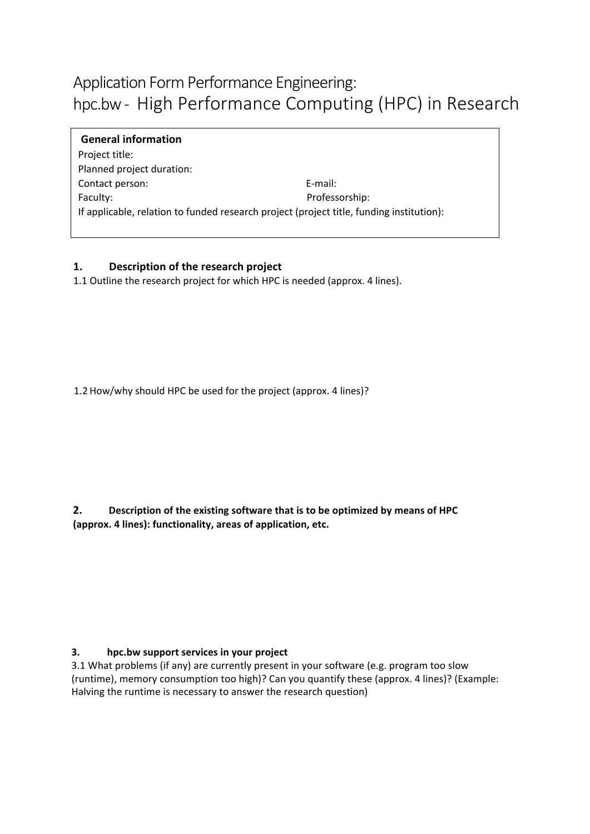## Application Form Performance Engineering: hpc.bw- High Performance Computing (HPC) in Research

**General information** Project title: Planned project duration: Contact person: E-mail: Faculty: Professorship: If applicable, relation to funded research project (project title, funding institution):

#### **1. Description of the research project**

1.1 Outline the research project for which HPC is needed (approx. 4 lines).

1.2 How/why should HPC be used for the project (approx. 4 lines)?

**2. Description of the existing software that is to be optimized by means of HPC (approx. 4 lines): functionality, areas of application, etc.**

#### **3. hpc.bw support services in your project**

3.1 What problems (if any) are currently present in your software (e.g. program too slow (runtime), memory consumption too high)? Can you quantify these (approx. 4 lines)? (Example: Halving the runtime is necessary to answer the research question)